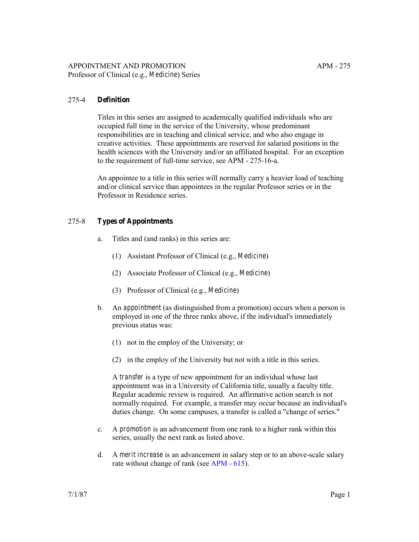#### 275-4 **Definition**

Titles in this series are assigned to academically qualified individuals who are occupied full time in the service of the University, whose predominant responsibilities are in teaching and clinical service, and who also engage in creative activities. These appointments are reserved for salaried positions in the health sciences with the University and/or an affiliated hospital. For an exception to the requirement of full-time service, see APM - 275-16-a.

An appointee to a title in this series will normally carry a heavier load of teaching and/or clinical service than appointees in the regular Professor series or in the Professor in Residence series.

#### 275-8 **Types of Appointments**

- a. Titles and (and ranks) in this series are:
	- (1) Assistant Professor of Clinical (e.g., *Medicine*)
	- (2) Associate Professor of Clinical (e.g., *Medicine*)
	- (3) Professor of Clinical (e.g., *Medicine*)
- b. An *appointment* (as distinguished from a promotion) occurs when a person is employed in one of the three ranks above, if the individual's immediately previous status was:
	- (1) not in the employ of the University; or
	- (2) in the employ of the University but not with a title in this series.

A *transfer* is a type of new appointment for an individual whose last appointment was in a University of California title, usually a faculty title. Regular academic review is required. An affirmative action search is not normally required. For example, a transfer may occur because an individual's duties change. On some campuses, a transfer is called a "change of series."

- c. A *promotion* is an advancement from one rank to a higher rank within this series, usually the next rank as listed above.
- d. A *merit increase* is an advancement in salary step or to an above-scale salary rate without change of rank (see [APM - 615\)](http://ucop.edu/academic-personnel-programs/_files/apm/apm-615.pdf).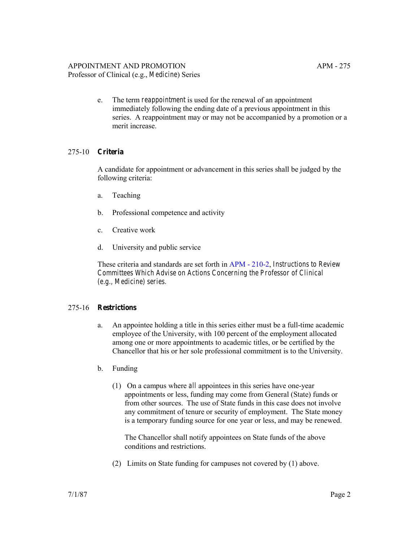# APPOINTMENT AND PROMOTION APM - 275

Professor of Clinical (e.g., *Medicine*) Series

e. The term *reappointment* is used for the renewal of an appointment immediately following the ending date of a previous appointment in this series. A reappointment may or may not be accompanied by a promotion or a merit increase.

# 275-10 **Criteria**

A candidate for appointment or advancement in this series shall be judged by the following criteria:

- a. Teaching
- b. Professional competence and activity
- c. Creative work
- d. University and public service

These criteria and standards are set forth in [APM - 210-2](http://ucop.edu/academic-personnel-programs/_files/apm/apm-210.pdf), *Instructions to Review Committees Which Advise on Actions Concerning the Professor of Clinical (e.g., Medicine) series.*

# 275-16 **Restrictions**

- a. An appointee holding a title in this series either must be a full-time academic employee of the University, with 100 percent of the employment allocated among one or more appointments to academic titles, or be certified by the Chancellor that his or her sole professional commitment is to the University.
- b. Funding
	- (1) On a campus where *all* appointees in this series have one-year appointments or less, funding may come from General (State) funds or from other sources. The use of State funds in this case does not involve any commitment of tenure or security of employment. The State money is a temporary funding source for one year or less, and may be renewed.

The Chancellor shall notify appointees on State funds of the above conditions and restrictions.

(2) Limits on State funding for campuses not covered by (1) above.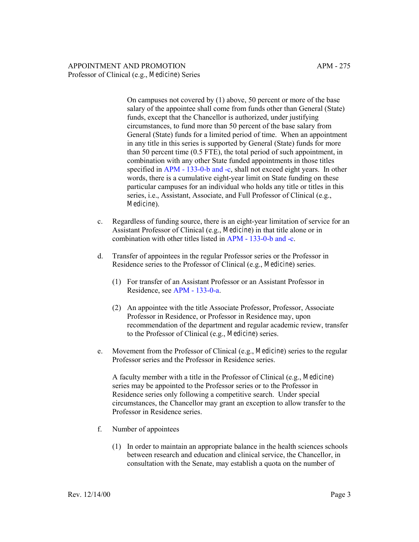On campuses not covered by (1) above, 50 percent or more of the base salary of the appointee shall come from funds other than General (State) funds, except that the Chancellor is authorized, under justifying circumstances, to fund more than 50 percent of the base salary from General (State) funds for a limited period of time. When an appointment in any title in this series is supported by General (State) funds for more than 50 percent time (0.5 FTE), the total period of such appointment, in combination with any other State funded appointments in those titles specified in [APM - 133-0-b and -c,](http://ucop.edu/academic-personnel-programs/_files/apm/apm-133.pdf) shall not exceed eight years. In other words, there is a cumulative eight-year limit on State funding on these particular campuses for an individual who holds any title or titles in this series, i.e., Assistant, Associate, and Full Professor of Clinical (e.g., *Medicine*).

- c. Regardless of funding source, there is an eight-year limitation of service for an Assistant Professor of Clinical (e.g., *Medicine*) in that title alone or in combination with other titles listed in [APM - 133-0-b and -c.](http://ucop.edu/academic-personnel-programs/_files/apm/apm-133.pdf)
- d. Transfer of appointees in the regular Professor series or the Professor in Residence series to the Professor of Clinical (e.g., *Medicine*) series.
	- (1) For transfer of an Assistant Professor or an Assistant Professor in Residence, see [APM - 133-0-a](http://ucop.edu/academic-personnel-programs/_files/apm/apm-133.pdf).
	- (2) An appointee with the title Associate Professor, Professor, Associate Professor in Residence, or Professor in Residence may, upon recommendation of the department and regular academic review, transfer to the Professor of Clinical (e.g., *Medicine*) series.
- e. Movement from the Professor of Clinical (e.g., *Medicine*) series to the regular Professor series and the Professor in Residence series.

A faculty member with a title in the Professor of Clinical (e.g., *Medicine*) series may be appointed to the Professor series or to the Professor in Residence series only following a competitive search. Under special circumstances, the Chancellor may grant an exception to allow transfer to the Professor in Residence series.

- f. Number of appointees
	- (1) In order to maintain an appropriate balance in the health sciences schools between research and education and clinical service, the Chancellor, in consultation with the Senate, may establish a quota on the number of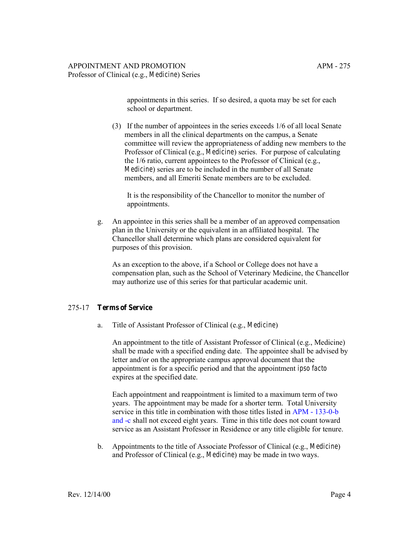appointments in this series. If so desired, a quota may be set for each school or department.

(3) If the number of appointees in the series exceeds 1/6 of all local Senate members in all the clinical departments on the campus, a Senate committee will review the appropriateness of adding new members to the Professor of Clinical (e.g., *Medicine*) series. For purpose of calculating the 1/6 ratio, current appointees to the Professor of Clinical (e.g., *Medicine*) series are to be included in the number of all Senate members, and all Emeriti Senate members are to be excluded.

It is the responsibility of the Chancellor to monitor the number of appointments.

g. An appointee in this series shall be a member of an approved compensation plan in the University or the equivalent in an affiliated hospital. The Chancellor shall determine which plans are considered equivalent for purposes of this provision.

As an exception to the above, if a School or College does not have a compensation plan, such as the School of Veterinary Medicine, the Chancellor may authorize use of this series for that particular academic unit.

#### 275-17 **Terms of Service**

a. Title of Assistant Professor of Clinical (e.g., *Medicine*)

An appointment to the title of Assistant Professor of Clinical (e.g., Medicine) shall be made with a specified ending date. The appointee shall be advised by letter and/or on the appropriate campus approval document that the appointment is for a specific period and that the appointment *ipso facto* expires at the specified date.

Each appointment and reappointment is limited to a maximum term of two years. The appointment may be made for a shorter term. Total University service in this title in combination with those titles listed in [APM - 133-0-b](http://ucop.edu/academic-personnel-programs/_files/apm/apm-133.pdf)  [and -c](http://ucop.edu/academic-personnel-programs/_files/apm/apm-133.pdf) shall not exceed eight years. Time in this title does not count toward service as an Assistant Professor in Residence or any title eligible for tenure.

b. Appointments to the title of Associate Professor of Clinical (e.g., *Medicine*) and Professor of Clinical (e.g., *Medicine*) may be made in two ways.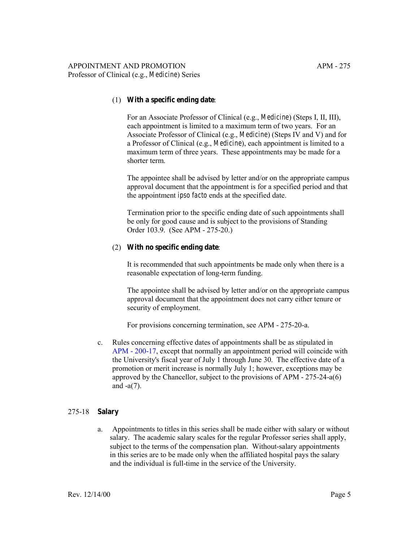#### (1) **With a specific ending date**:

For an Associate Professor of Clinical (e.g., *Medicine*) (Steps I, II, III), each appointment is limited to a maximum term of two years. For an Associate Professor of Clinical (e.g., *Medicine*) (Steps IV and V) and for a Professor of Clinical (e.g., *Medicine*), each appointment is limited to a maximum term of three years. These appointments may be made for a shorter term.

The appointee shall be advised by letter and/or on the appropriate campus approval document that the appointment is for a specified period and that the appointment *ipso facto* ends at the specified date.

Termination prior to the specific ending date of such appointments shall be only for good cause and is subject to the provisions of Standing Order 103.9. (See APM - 275-20.)

#### (2) **With no specific ending date**:

It is recommended that such appointments be made only when there is a reasonable expectation of long-term funding.

The appointee shall be advised by letter and/or on the appropriate campus approval document that the appointment does not carry either tenure or security of employment.

For provisions concerning termination, see APM - 275-20-a.

c. Rules concerning effective dates of appointments shall be as stipulated in [APM - 200-17](http://ucop.edu/academic-personnel-programs/_files/apm/apm-200.pdf), except that normally an appointment period will coincide with the University's fiscal year of July 1 through June 30. The effective date of a promotion or merit increase is normally July 1; however, exceptions may be approved by the Chancellor, subject to the provisions of APM - 275-24-a(6) and -a(7).

#### 275-18 **Salary**

a. Appointments to titles in this series shall be made either with salary or without salary. The academic salary scales for the regular Professor series shall apply, subject to the terms of the compensation plan. Without-salary appointments in this series are to be made only when the affiliated hospital pays the salary and the individual is full-time in the service of the University.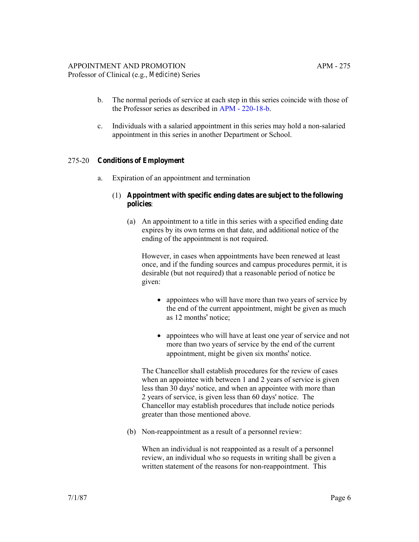# APPOINTMENT AND PROMOTION APM - 275

- Professor of Clinical (e.g., *Medicine*) Series
	- b. The normal periods of service at each step in this series coincide with those of the Professor series as described in [APM - 220-18-b.](http://ucop.edu/academic-personnel-programs/_files/apm/apm-220.pdf)
	- c. Individuals with a salaried appointment in this series may hold a non-salaried appointment in this series in another Department or School.

## 275-20 **Conditions of Employment**

a. Expiration of an appointment and termination

## (1) **Appointment with specific ending dates are subject to the following policies**:

(a) An appointment to a title in this series with a specified ending date expires by its own terms on that date, and additional notice of the ending of the appointment is not required.

However, in cases when appointments have been renewed at least once, and if the funding sources and campus procedures permit, it is desirable (but not required) that a reasonable period of notice be given:

- appointees who will have more than two years of service by the end of the current appointment, might be given as much as 12 months' notice;
- appointees who will have at least one year of service and not more than two years of service by the end of the current appointment, might be given six months' notice.

The Chancellor shall establish procedures for the review of cases when an appointee with between 1 and 2 years of service is given less than 30 days' notice, and when an appointee with more than 2 years of service, is given less than 60 days' notice. The Chancellor may establish procedures that include notice periods greater than those mentioned above.

(b) Non-reappointment as a result of a personnel review:

When an individual is not reappointed as a result of a personnel review, an individual who so requests in writing shall be given a written statement of the reasons for non-reappointment. This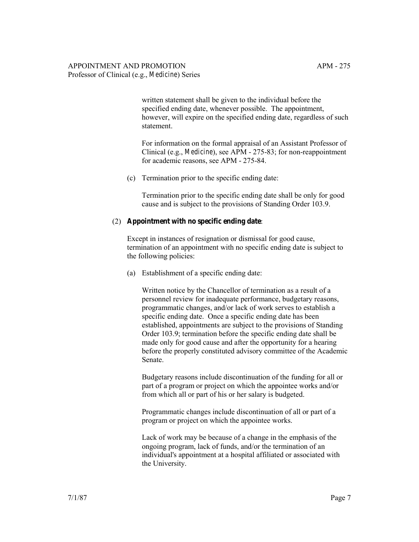written statement shall be given to the individual before the specified ending date, whenever possible. The appointment, however, will expire on the specified ending date, regardless of such statement.

For information on the formal appraisal of an Assistant Professor of Clinical (e.g., *Medicine*), see APM - 275-83; for non-reappointment for academic reasons, see APM - 275-84.

(c) Termination prior to the specific ending date:

Termination prior to the specific ending date shall be only for good cause and is subject to the provisions of Standing Order 103.9.

#### (2) **Appointment with no specific ending date**:

Except in instances of resignation or dismissal for good cause, termination of an appointment with no specific ending date is subject to the following policies:

(a) Establishment of a specific ending date:

Written notice by the Chancellor of termination as a result of a personnel review for inadequate performance, budgetary reasons, programmatic changes, and/or lack of work serves to establish a specific ending date. Once a specific ending date has been established, appointments are subject to the provisions of Standing Order 103.9; termination before the specific ending date shall be made only for good cause and after the opportunity for a hearing before the properly constituted advisory committee of the Academic Senate.

Budgetary reasons include discontinuation of the funding for all or part of a program or project on which the appointee works and/or from which all or part of his or her salary is budgeted.

Programmatic changes include discontinuation of all or part of a program or project on which the appointee works.

Lack of work may be because of a change in the emphasis of the ongoing program, lack of funds, and/or the termination of an individual's appointment at a hospital affiliated or associated with the University.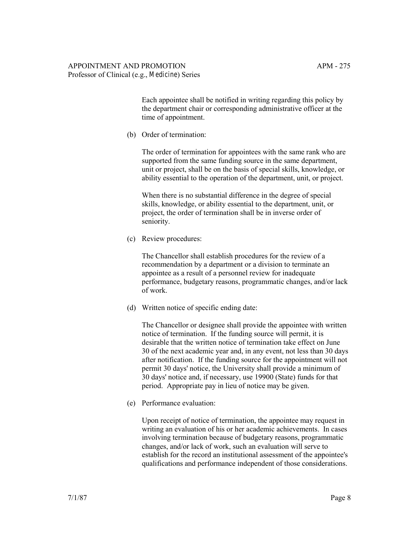Each appointee shall be notified in writing regarding this policy by the department chair or corresponding administrative officer at the time of appointment.

(b) Order of termination:

The order of termination for appointees with the same rank who are supported from the same funding source in the same department, unit or project, shall be on the basis of special skills, knowledge, or ability essential to the operation of the department, unit, or project.

When there is no substantial difference in the degree of special skills, knowledge, or ability essential to the department, unit, or project, the order of termination shall be in inverse order of seniority.

(c) Review procedures:

The Chancellor shall establish procedures for the review of a recommendation by a department or a division to terminate an appointee as a result of a personnel review for inadequate performance, budgetary reasons, programmatic changes, and/or lack of work.

(d) Written notice of specific ending date:

The Chancellor or designee shall provide the appointee with written notice of termination. If the funding source will permit, it is desirable that the written notice of termination take effect on June 30 of the next academic year and, in any event, not less than 30 days after notification. If the funding source for the appointment will not permit 30 days' notice, the University shall provide a minimum of 30 days' notice and, if necessary, use 19900 (State) funds for that period. Appropriate pay in lieu of notice may be given.

(e) Performance evaluation:

Upon receipt of notice of termination, the appointee may request in writing an evaluation of his or her academic achievements. In cases involving termination because of budgetary reasons, programmatic changes, and/or lack of work, such an evaluation will serve to establish for the record an institutional assessment of the appointee's qualifications and performance independent of those considerations.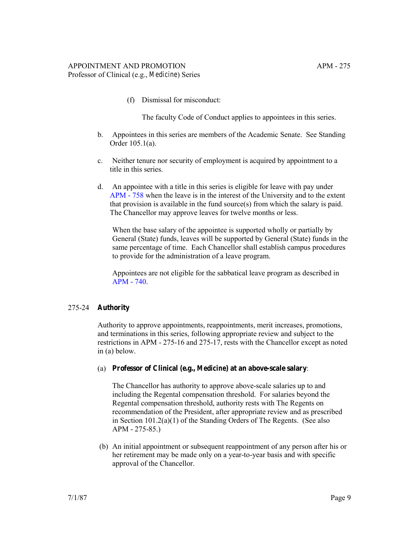(f) Dismissal for misconduct:

The faculty Code of Conduct applies to appointees in this series.

- b. Appointees in this series are members of the Academic Senate. See Standing Order 105.1(a).
- c. Neither tenure nor security of employment is acquired by appointment to a title in this series.
- d. An appointee with a title in this series is eligible for leave with pay under [APM - 758](http://ucop.edu/academic-personnel-programs/_files/apm/apm-758.pdf) when the leave is in the interest of the University and to the extent that provision is available in the fund source(s) from which the salary is paid. The Chancellor may approve leaves for twelve months or less.

When the base salary of the appointee is supported wholly or partially by General (State) funds, leaves will be supported by General (State) funds in the same percentage of time. Each Chancellor shall establish campus procedures to provide for the administration of a leave program.

Appointees are not eligible for the sabbatical leave program as described in [APM - 740](http://ucop.edu/academic-personnel-programs/_files/apm/apm-740.pdf).

#### 275-24 **Authority**

Authority to approve appointments, reappointments, merit increases, promotions, and terminations in this series, following appropriate review and subject to the restrictions in APM - 275-16 and 275-17, rests with the Chancellor except as noted in (a) below.

(a) **Professor of Clinical (e.g.,** *Medicine***) at an above-scale salary**:

The Chancellor has authority to approve above-scale salaries up to and including the Regental compensation threshold. For salaries beyond the Regental compensation threshold, authority rests with The Regents on recommendation of the President, after appropriate review and as prescribed in Section 101.2(a)(1) of the Standing Orders of The Regents. (See also APM - 275-85.)

 (b) An initial appointment or subsequent reappointment of any person after his or her retirement may be made only on a year-to-year basis and with specific approval of the Chancellor.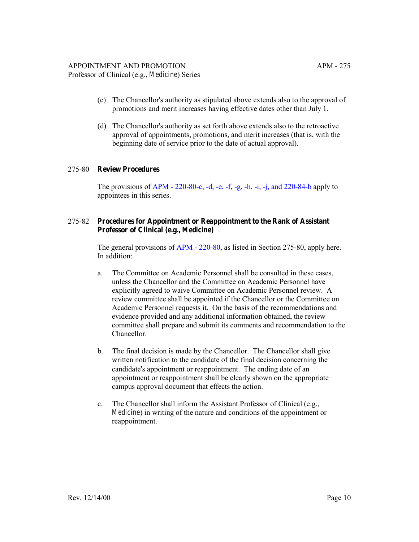- (c) The Chancellor's authority as stipulated above extends also to the approval of promotions and merit increases having effective dates other than July 1.
- (d) The Chancellor's authority as set forth above extends also to the retroactive approval of appointments, promotions, and merit increases (that is, with the beginning date of service prior to the date of actual approval).

#### 275-80 **Review Procedures**

The provisions of APM -  $220-80-c$ , -d, -e, -f, -g, -h, -i, -j, and  $220-84-b$  apply to appointees in this series.

#### 275-82 **Procedures for Appointment or Reappointment to the Rank of Assistant Professor of Clinical (e.g.,** *Medicine***)**

The general provisions of [APM - 220-80,](http://ucop.edu/academic-personnel-programs/_files/apm/apm-220.pdf) as listed in Section 275-80, apply here. In addition:

- a. The Committee on Academic Personnel shall be consulted in these cases, unless the Chancellor and the Committee on Academic Personnel have explicitly agreed to waive Committee on Academic Personnel review. A review committee shall be appointed if the Chancellor or the Committee on Academic Personnel requests it. On the basis of the recommendations and evidence provided and any additional information obtained, the review committee shall prepare and submit its comments and recommendation to the Chancellor.
- b. The final decision is made by the Chancellor. The Chancellor shall give written notification to the candidate of the final decision concerning the candidate's appointment or reappointment. The ending date of an appointment or reappointment shall be clearly shown on the appropriate campus approval document that effects the action.
- c. The Chancellor shall inform the Assistant Professor of Clinical (e.g., *Medicine*) in writing of the nature and conditions of the appointment or reappointment.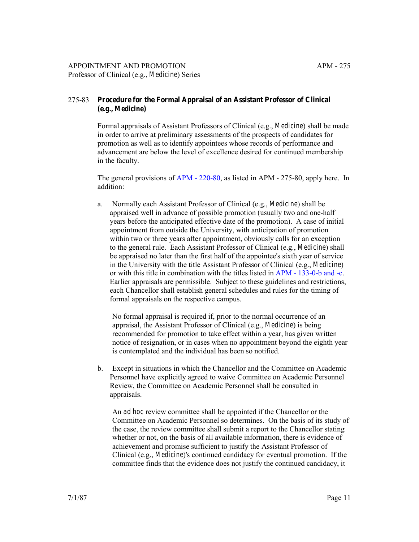# 275-83 **Procedure for the Formal Appraisal of an Assistant Professor of Clinical (e.g.,** *Medicine***)**

Formal appraisals of Assistant Professors of Clinical (e.g., *Medicine*) shall be made in order to arrive at preliminary assessments of the prospects of candidates for promotion as well as to identify appointees whose records of performance and advancement are below the level of excellence desired for continued membership in the faculty.

The general provisions of [APM - 220-80](http://ucop.edu/academic-personnel-programs/_files/apm/apm-220.pdf), as listed in APM - 275-80, apply here. In addition:

a. Normally each Assistant Professor of Clinical (e.g., *Medicine*) shall be appraised well in advance of possible promotion (usually two and one-half years before the anticipated effective date of the promotion). A case of initial appointment from outside the University, with anticipation of promotion within two or three years after appointment, obviously calls for an exception to the general rule. Each Assistant Professor of Clinical (e.g., *Medicine*) shall be appraised no later than the first half of the appointee's sixth year of service in the University with the title Assistant Professor of Clinical (e.g., *Medicine*) or with this title in combination with the titles listed in [APM - 133-0-b and -c.](http://ucop.edu/academic-personnel-programs/_files/apm/apm-133.pdf) Earlier appraisals are permissible. Subject to these guidelines and restrictions, each Chancellor shall establish general schedules and rules for the timing of formal appraisals on the respective campus.

No formal appraisal is required if, prior to the normal occurrence of an appraisal, the Assistant Professor of Clinical (e.g., *Medicine*) is being recommended for promotion to take effect within a year, has given written notice of resignation, or in cases when no appointment beyond the eighth year is contemplated and the individual has been so notified.

b. Except in situations in which the Chancellor and the Committee on Academic Personnel have explicitly agreed to waive Committee on Academic Personnel Review, the Committee on Academic Personnel shall be consulted in appraisals.

An *ad hoc* review committee shall be appointed if the Chancellor or the Committee on Academic Personnel so determines. On the basis of its study of the case, the review committee shall submit a report to the Chancellor stating whether or not, on the basis of all available information, there is evidence of achievement and promise sufficient to justify the Assistant Professor of Clinical (e.g., *Medicine*)'s continued candidacy for eventual promotion. If the committee finds that the evidence does not justify the continued candidacy, it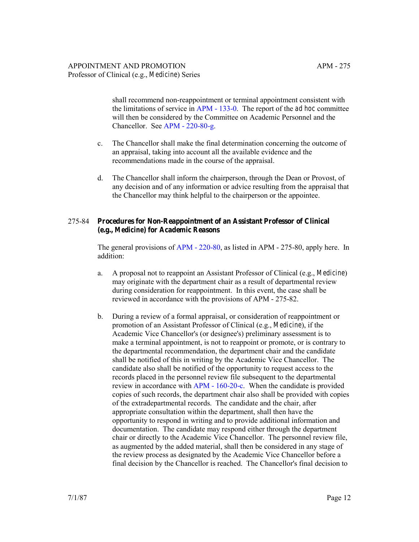shall recommend non-reappointment or terminal appointment consistent with the limitations of service in [APM - 133-0.](http://ucop.edu/academic-personnel-programs/_files/apm/apm-133.pdf) The report of the *ad hoc* committee will then be considered by the Committee on Academic Personnel and the Chancellor. See [APM - 220-80-g.](http://ucop.edu/academic-personnel-programs/_files/apm/apm-220.pdf)

- c. The Chancellor shall make the final determination concerning the outcome of an appraisal, taking into account all the available evidence and the recommendations made in the course of the appraisal.
- d. The Chancellor shall inform the chairperson, through the Dean or Provost, of any decision and of any information or advice resulting from the appraisal that the Chancellor may think helpful to the chairperson or the appointee.

#### 275-84 **Procedures for Non-Reappointment of an Assistant Professor of Clinical (e.g.,** *Medicine***) for Academic Reasons**

The general provisions of [APM - 220-80](http://ucop.edu/academic-personnel-programs/_files/apm/apm-220.pdf), as listed in APM - 275-80, apply here. In addition:

- a. A proposal not to reappoint an Assistant Professor of Clinical (e.g., *Medicine*) may originate with the department chair as a result of departmental review during consideration for reappointment. In this event, the case shall be reviewed in accordance with the provisions of APM - 275-82.
- b. During a review of a formal appraisal, or consideration of reappointment or promotion of an Assistant Professor of Clinical (e.g., *Medicine*), if the Academic Vice Chancellor's (or designee's) preliminary assessment is to make a terminal appointment, is not to reappoint or promote, or is contrary to the departmental recommendation, the department chair and the candidate shall be notified of this in writing by the Academic Vice Chancellor. The candidate also shall be notified of the opportunity to request access to the records placed in the personnel review file subsequent to the departmental review in accordance with [APM - 160-20-c.](http://ucop.edu/academic-personnel-programs/_files/apm/apm-160.pdf) When the candidate is provided copies of such records, the department chair also shall be provided with copies of the extradepartmental records. The candidate and the chair, after appropriate consultation within the department, shall then have the opportunity to respond in writing and to provide additional information and documentation. The candidate may respond either through the department chair or directly to the Academic Vice Chancellor. The personnel review file, as augmented by the added material, shall then be considered in any stage of the review process as designated by the Academic Vice Chancellor before a final decision by the Chancellor is reached. The Chancellor's final decision to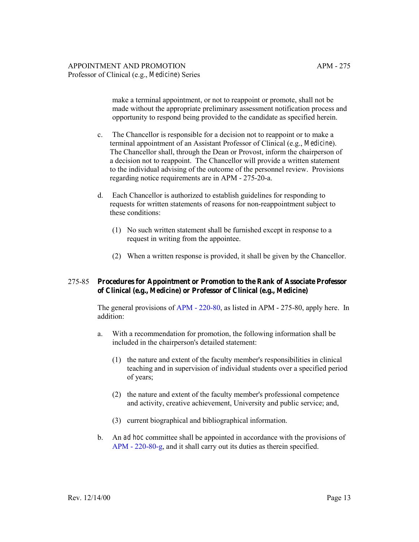make a terminal appointment, or not to reappoint or promote, shall not be made without the appropriate preliminary assessment notification process and opportunity to respond being provided to the candidate as specified herein.

- c. The Chancellor is responsible for a decision not to reappoint or to make a terminal appointment of an Assistant Professor of Clinical (e.g., *Medicine*). The Chancellor shall, through the Dean or Provost, inform the chairperson of a decision not to reappoint. The Chancellor will provide a written statement to the individual advising of the outcome of the personnel review. Provisions regarding notice requirements are in APM - 275-20-a.
- d. Each Chancellor is authorized to establish guidelines for responding to requests for written statements of reasons for non-reappointment subject to these conditions:
	- (1) No such written statement shall be furnished except in response to a request in writing from the appointee.
	- (2) When a written response is provided, it shall be given by the Chancellor.

#### 275-85 **Procedures for Appointment or Promotion to the Rank of Associate Professor of Clinical (e.g.,** *Medicine***) or Professor of Clinical (e.g.,** *Medicine***)**

The general provisions of [APM - 220-80](http://ucop.edu/academic-personnel-programs/_files/apm/apm-220.pdf), as listed in APM - 275-80, apply here. In addition:

- a. With a recommendation for promotion, the following information shall be included in the chairperson's detailed statement:
	- (1) the nature and extent of the faculty member's responsibilities in clinical teaching and in supervision of individual students over a specified period of years;
	- (2) the nature and extent of the faculty member's professional competence and activity, creative achievement, University and public service; and,
	- (3) current biographical and bibliographical information.
- b. An *ad hoc* committee shall be appointed in accordance with the provisions of [APM - 220-80-g,](http://ucop.edu/academic-personnel-programs/_files/apm/apm-220.pdf) and it shall carry out its duties as therein specified.